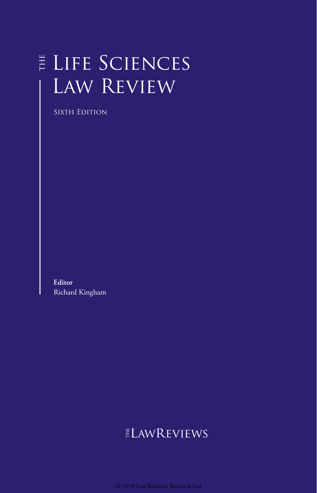# Life Sciences Law Review

SIXTH EDITION

**Editor** Richard Kingham

# $E$ LAWREVIEWS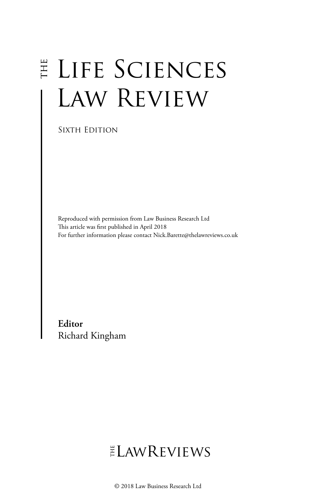# E LIFE SCIENCES Law Review

Sixth Edition

Reproduced with permission from Law Business Research Ltd This article was first published in April 2018 For further information please contact Nick.Barette@thelawreviews.co.uk

**Editor** Richard Kingham

# ELAWREVIEWS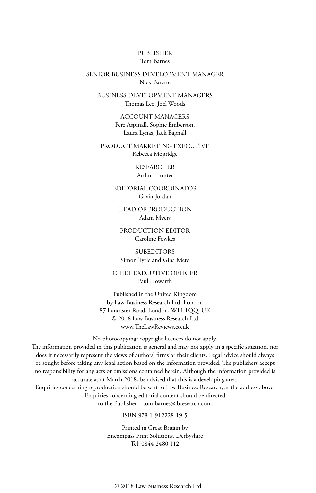#### PUBLISHER Tom Barnes

#### SENIOR BUSINESS DEVELOPMENT MANAGER Nick Barette

BUSINESS DEVELOPMENT MANAGERS Thomas Lee, Joel Woods

> ACCOUNT MANAGERS Pere Aspinall, Sophie Emberson, Laura Lynas, Jack Bagnall

PRODUCT MARKETING EXECUTIVE Rebecca Mogridge

> RESEARCHER Arthur Hunter

EDITORIAL COORDINATOR Gavin Jordan

HEAD OF PRODUCTION Adam Myers

PRODUCTION EDITOR Caroline Fewkes

**SUBEDITORS** Simon Tyrie and Gina Mete

CHIEF EXECUTIVE OFFICER Paul Howarth

Published in the United Kingdom by Law Business Research Ltd, London 87 Lancaster Road, London, W11 1QQ, UK © 2018 Law Business Research Ltd www.TheLawReviews.co.uk

No photocopying: copyright licences do not apply.

The information provided in this publication is general and may not apply in a specific situation, nor does it necessarily represent the views of authors' firms or their clients. Legal advice should always be sought before taking any legal action based on the information provided. The publishers accept no responsibility for any acts or omissions contained herein. Although the information provided is accurate as at March 2018, be advised that this is a developing area.

Enquiries concerning reproduction should be sent to Law Business Research, at the address above. Enquiries concerning editorial content should be directed to the Publisher – tom.barnes@lbresearch.com

#### ISBN 978-1-912228-19-5

Printed in Great Britain by Encompass Print Solutions, Derbyshire Tel: 0844 2480 112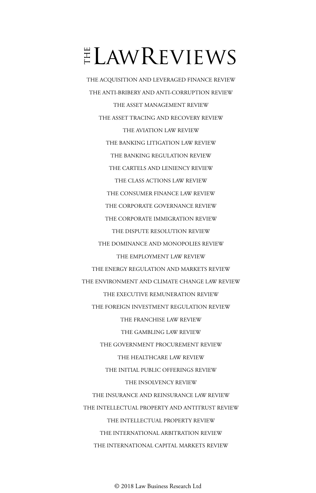# $ELMR$  EVIEWS

THE ACQUISITION AND LEVERAGED FINANCE REVIEW THE ANTI-BRIBERY AND ANTI-CORRUPTION REVIEW THE ASSET MANAGEMENT REVIEW THE ASSET TRACING AND RECOVERY REVIEW THE AVIATION LAW REVIEW THE BANKING LITIGATION LAW REVIEW THE BANKING REGULATION REVIEW THE CARTELS AND LENIENCY REVIEW THE CLASS ACTIONS LAW REVIEW THE CONSUMER FINANCE LAW REVIEW THE CORPORATE GOVERNANCE REVIEW THE CORPORATE IMMIGRATION REVIEW THE DISPUTE RESOLUTION REVIEW THE DOMINANCE AND MONOPOLIES REVIEW THE EMPLOYMENT LAW REVIEW THE ENERGY REGULATION AND MARKETS REVIEW THE ENVIRONMENT AND CLIMATE CHANGE LAW REVIEW THE EXECUTIVE REMUNERATION REVIEW THE FOREIGN INVESTMENT REGULATION REVIEW THE FRANCHISE LAW REVIEW THE GAMBLING LAW REVIEW THE GOVERNMENT PROCUREMENT REVIEW THE HEALTHCARE LAW REVIEW THE INITIAL PUBLIC OFFERINGS REVIEW THE INSOLVENCY REVIEW THE INSURANCE AND REINSURANCE LAW REVIEW THE INTELLECTUAL PROPERTY AND ANTITRUST REVIEW THE INTELLECTUAL PROPERTY REVIEW THE INTERNATIONAL ARBITRATION REVIEW THE INTERNATIONAL CAPITAL MARKETS REVIEW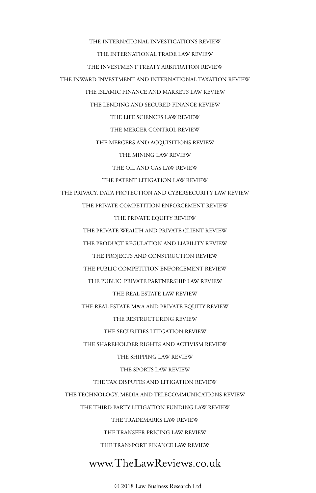THE INTERNATIONAL INVESTIGATIONS REVIEW THE INTERNATIONAL TRADE LAW REVIEW THE INVESTMENT TREATY ARBITRATION REVIEW THE INWARD INVESTMENT AND INTERNATIONAL TAXATION REVIEW THE ISLAMIC FINANCE AND MARKETS LAW REVIEW THE LENDING AND SECURED FINANCE REVIEW THE LIFE SCIENCES LAW REVIEW THE MERGER CONTROL REVIEW THE MERGERS AND ACQUISITIONS REVIEW THE MINING LAW REVIEW THE OIL AND GAS LAW REVIEW THE PATENT LITIGATION LAW REVIEW THE PRIVACY, DATA PROTECTION AND CYBERSECURITY LAW REVIEW THE PRIVATE COMPETITION ENFORCEMENT REVIEW THE PRIVATE EQUITY REVIEW THE PRIVATE WEALTH AND PRIVATE CLIENT REVIEW THE PRODUCT REGULATION AND LIABILITY REVIEW THE PROJECTS AND CONSTRUCTION REVIEW THE PUBLIC COMPETITION ENFORCEMENT REVIEW THE PUBLIC–PRIVATE PARTNERSHIP LAW REVIEW THE REAL ESTATE LAW REVIEW THE REAL ESTATE M&A AND PRIVATE EQUITY REVIEW THE RESTRUCTURING REVIEW THE SECURITIES LITIGATION REVIEW THE SHAREHOLDER RIGHTS AND ACTIVISM REVIEW THE SHIPPING LAW REVIEW THE SPORTS LAW REVIEW THE TAX DISPUTES AND LITIGATION REVIEW THE TECHNOLOGY, MEDIA AND TELECOMMUNICATIONS REVIEW THE THIRD PARTY LITIGATION FUNDING LAW REVIEW THE TRADEMARKS LAW REVIEW THE TRANSFER PRICING LAW REVIEW THE TRANSPORT FINANCE LAW REVIEW

### www.TheLawReviews.co.uk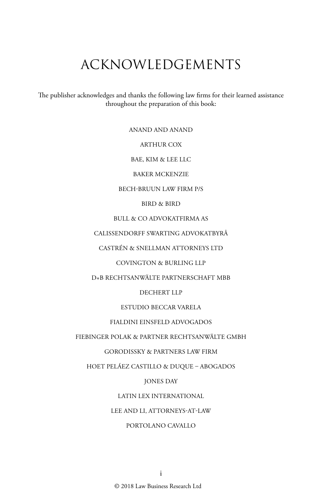## ACKNOWLEDGEMENTS

The publisher acknowledges and thanks the following law firms for their learned assistance throughout the preparation of this book:

ANAND AND ANAND

ARTHUR COX

BAE, KIM & LEE LLC

BAKER MCKENZIE

BECH-BRUUN LAW FIRM P/S

BIRD & BIRD

BULL & CO ADVOKATFIRMA AS

CALISSENDORFF SWARTING ADVOKATBYRÅ

CASTRÉN & SNELLMAN ATTORNEYS LTD

COVINGTON & BURLING LLP

D+B RECHTSANWÄLTE PARTNERSCHAFT MBB

DECHERT LLP

ESTUDIO BECCAR VARELA

FIALDINI EINSFELD ADVOGADOS

FIEBINGER POLAK & PARTNER RECHTSANWÄLTE GMBH

GORODISSKY & PARTNERS LAW FIRM

HOET PELÁEZ CASTILLO & DUQUE – ABOGADOS

JONES DAY

LATIN LEX INTERNATIONAL

LEE AND LI, ATTORNEYS-AT-LAW

#### PORTOLANO CAVALLO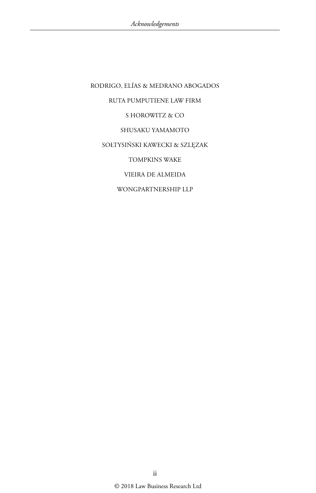RODRIGO, ELÍAS & MEDRANO ABOGADOS RUTA PUMPUTIENE LAW FIRM S HOROWITZ & CO SHUSAKU YAMAMOTO SOŁTYSIŃSKI KAWECKI & SZLĘZAK TOMPKINS WAKE VIEIRA DE ALMEIDA WONGPARTNERSHIP LLP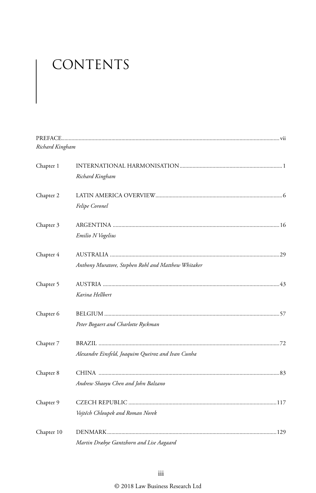# CONTENTS

| Richard Kingham |                                                     |  |
|-----------------|-----------------------------------------------------|--|
| Chapter 1       |                                                     |  |
|                 | Richard Kingham                                     |  |
| Chapter 2       |                                                     |  |
|                 | Felipe Coronel                                      |  |
| Chapter 3       |                                                     |  |
|                 | Emilio N Vogelius                                   |  |
| Chapter 4       |                                                     |  |
|                 | Anthony Muratore, Stephen Rohl and Matthew Whitaker |  |
| Chapter 5       |                                                     |  |
|                 | Karina Hellbert                                     |  |
| Chapter 6       |                                                     |  |
|                 | Peter Bogaert and Charlotte Ryckman                 |  |
| Chapter 7       |                                                     |  |
|                 | Alexandre Einsfeld, Joaquim Queiroz and Ivan Cunha  |  |
| Chapter 8       |                                                     |  |
|                 | Andrew Shaoyu Chen and John Balzano                 |  |
| Chapter 9       |                                                     |  |
|                 | Vojtěch Chloupek and Roman Norek                    |  |
| Chapter 10      |                                                     |  |
|                 | Martin Dræbye Gantzhorn and Lise Aagaard            |  |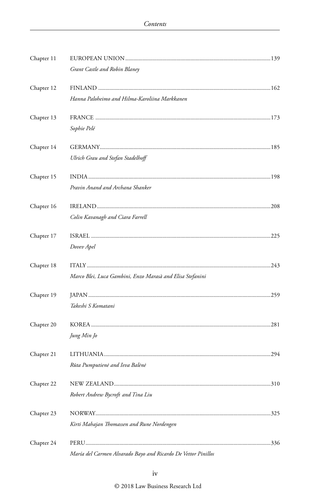| Chapter 11 |                                                               |  |
|------------|---------------------------------------------------------------|--|
|            | Grant Castle and Robin Blaney                                 |  |
| Chapter 12 |                                                               |  |
|            | Hanna Paloheimo and Hilma-Karoliina Markkanen                 |  |
| Chapter 13 |                                                               |  |
|            | Sophie Pelé                                                   |  |
| Chapter 14 |                                                               |  |
|            | Ulrich Grau and Stefan Stadelhoff                             |  |
| Chapter 15 |                                                               |  |
|            | Pravin Anand and Archana Shanker                              |  |
| Chapter 16 |                                                               |  |
|            | Colin Kavanagh and Ciara Farrell                              |  |
| Chapter 17 |                                                               |  |
|            | Dovev Apel                                                    |  |
| Chapter 18 |                                                               |  |
|            | Marco Blei, Luca Gambini, Enzo Marasà and Elisa Stefanini     |  |
| Chapter 19 |                                                               |  |
|            | Takeshi S Komatani                                            |  |
| Chapter 20 |                                                               |  |
|            | Jung Min Jo                                                   |  |
| Chapter 21 |                                                               |  |
|            | Rūta Pumputienė and Ieva Balėnė                               |  |
| Chapter 22 |                                                               |  |
|            | Robert Andrew Bycroft and Tina Liu                            |  |
| Chapter 23 |                                                               |  |
|            | Kirti Mahajan Thomassen and Rune Nordengen                    |  |
| Chapter 24 |                                                               |  |
|            | María del Carmen Alvarado Bayo and Ricardo De Vettor Pinillos |  |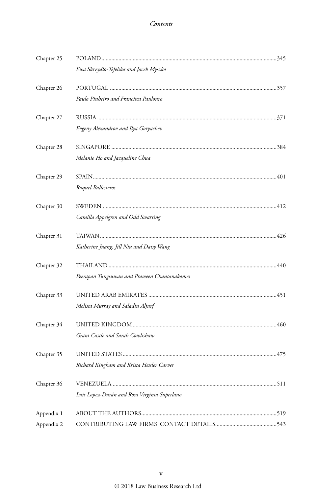| Chapter 25 |                                              |  |
|------------|----------------------------------------------|--|
|            | Ewa Skrzydło-Tefelska and Jacek Myszko       |  |
| Chapter 26 |                                              |  |
|            | Paulo Pinheiro and Francisca Paulouro        |  |
| Chapter 27 |                                              |  |
|            | Evgeny Alexandrov and Ilya Goryachev         |  |
| Chapter 28 |                                              |  |
|            | Melanie Ho and Jacqueline Chua               |  |
| Chapter 29 |                                              |  |
|            | Raquel Ballesteros                           |  |
| Chapter 30 |                                              |  |
|            | Camilla Appelgren and Odd Swarting           |  |
| Chapter 31 |                                              |  |
|            | Katherine Juang, Jill Niu and Daisy Wang     |  |
| Chapter 32 |                                              |  |
|            | Peerapan Tungsuwan and Praween Chantanakomes |  |
| Chapter 33 |                                              |  |
|            | Melissa Murray and Saladin Aljurf            |  |
| Chapter 34 |                                              |  |
|            | Grant Castle and Sarah Cowlishaw             |  |
| Chapter 35 |                                              |  |
|            | Richard Kingham and Krista Hessler Carver    |  |
| Chapter 36 |                                              |  |
|            | Luis Lopez-Durán and Rosa Virginia Superlano |  |
| Appendix 1 |                                              |  |
| Appendix 2 |                                              |  |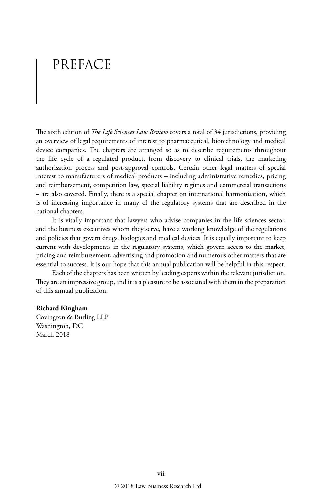## PREFACE

The sixth edition of *The Life Sciences Law Review* covers a total of 34 jurisdictions, providing an overview of legal requirements of interest to pharmaceutical, biotechnology and medical device companies. The chapters are arranged so as to describe requirements throughout the life cycle of a regulated product, from discovery to clinical trials, the marketing authorisation process and post-approval controls. Certain other legal matters of special interest to manufacturers of medical products – including administrative remedies, pricing and reimbursement, competition law, special liability regimes and commercial transactions – are also covered. Finally, there is a special chapter on international harmonisation, which is of increasing importance in many of the regulatory systems that are described in the national chapters.

It is vitally important that lawyers who advise companies in the life sciences sector, and the business executives whom they serve, have a working knowledge of the regulations and policies that govern drugs, biologics and medical devices. It is equally important to keep current with developments in the regulatory systems, which govern access to the market, pricing and reimbursement, advertising and promotion and numerous other matters that are essential to success. It is our hope that this annual publication will be helpful in this respect.

Each of the chapters has been written by leading experts within the relevant jurisdiction. They are an impressive group, and it is a pleasure to be associated with them in the preparation of this annual publication.

#### **Richard Kingham**

Covington & Burling LLP Washington, DC March 2018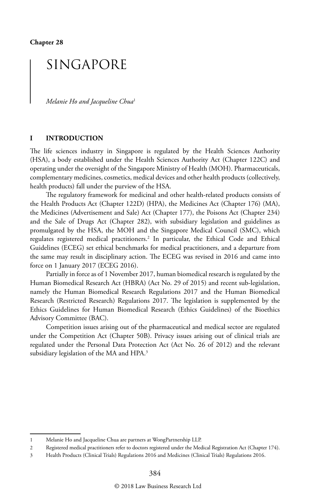## SINGAPORE

*Melanie Ho and Jacqueline Chua*<sup>1</sup>

#### **I INTRODUCTION**

The life sciences industry in Singapore is regulated by the Health Sciences Authority (HSA), a body established under the Health Sciences Authority Act (Chapter 122C) and operating under the oversight of the Singapore Ministry of Health (MOH). Pharmaceuticals, complementary medicines, cosmetics, medical devices and other health products (collectively, health products) fall under the purview of the HSA.

The regulatory framework for medicinal and other health-related products consists of the Health Products Act (Chapter 122D) (HPA), the Medicines Act (Chapter 176) (MA), the Medicines (Advertisement and Sale) Act (Chapter 177), the Poisons Act (Chapter 234) and the Sale of Drugs Act (Chapter 282), with subsidiary legislation and guidelines as promulgated by the HSA, the MOH and the Singapore Medical Council (SMC), which regulates registered medical practitioners.2 In particular, the Ethical Code and Ethical Guidelines (ECEG) set ethical benchmarks for medical practitioners, and a departure from the same may result in disciplinary action. The ECEG was revised in 2016 and came into force on 1 January 2017 (ECEG 2016).

Partially in force as of 1 November 2017, human biomedical research is regulated by the Human Biomedical Research Act (HBRA) (Act No. 29 of 2015) and recent sub-legislation, namely the Human Biomedical Research Regulations 2017 and the Human Biomedical Research (Restricted Research) Regulations 2017. The legislation is supplemented by the Ethics Guidelines for Human Biomedical Research (Ethics Guidelines) of the Bioethics Advisory Committee (BAC).

Competition issues arising out of the pharmaceutical and medical sector are regulated under the Competition Act (Chapter 50B). Privacy issues arising out of clinical trials are regulated under the Personal Data Protection Act (Act No. 26 of 2012) and the relevant subsidiary legislation of the MA and HPA.<sup>3</sup>

<sup>1</sup> Melanie Ho and Jacqueline Chua are partners at WongPartnership LLP.

<sup>2</sup> Registered medical practitioners refer to doctors registered under the Medical Registration Act (Chapter 174).

<sup>3</sup> Health Products (Clinical Trials) Regulations 2016 and Medicines (Clinical Trials) Regulations 2016.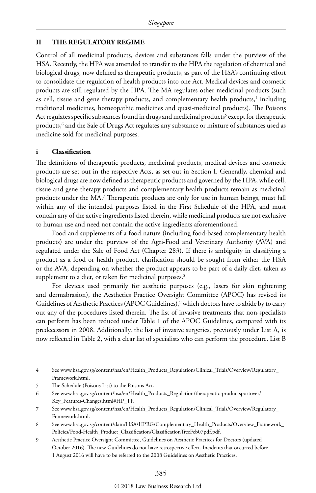#### **II THE REGULATORY REGIME**

Control of all medicinal products, devices and substances falls under the purview of the HSA. Recently, the HPA was amended to transfer to the HPA the regulation of chemical and biological drugs, now defined as therapeutic products, as part of the HSA's continuing effort to consolidate the regulation of health products into one Act. Medical devices and cosmetic products are still regulated by the HPA. The MA regulates other medicinal products (such as cell, tissue and gene therapy products, and complementary health products,<sup>4</sup> including traditional medicines, homeopathic medicines and quasi-medicinal products). The Poisons Act regulates specific substances found in drugs and medicinal products<sup>5</sup> except for therapeutic products,6 and the Sale of Drugs Act regulates any substance or mixture of substances used as medicine sold for medicinal purposes.

#### **i Classification**

The definitions of therapeutic products, medicinal products, medical devices and cosmetic products are set out in the respective Acts, as set out in Section I. Generally, chemical and biological drugs are now defined as therapeutic products and governed by the HPA, while cell, tissue and gene therapy products and complementary health products remain as medicinal products under the MA.7 Therapeutic products are only for use in human beings, must fall within any of the intended purposes listed in the First Schedule of the HPA, and must contain any of the active ingredients listed therein, while medicinal products are not exclusive to human use and need not contain the active ingredients aforementioned.

Food and supplements of a food nature (including food-based complementary health products) are under the purview of the Agri-Food and Veterinary Authority (AVA) and regulated under the Sale of Food Act (Chapter 283). If there is ambiguity in classifying a product as a food or health product, clarification should be sought from either the HSA or the AVA, depending on whether the product appears to be part of a daily diet, taken as supplement to a diet, or taken for medicinal purposes.<sup>8</sup>

For devices used primarily for aesthetic purposes (e.g., lasers for skin tightening and dermabrasion), the Aesthetics Practice Oversight Committee (APOC) has revised its Guidelines of Aesthetic Practices (APOC Guidelines),<sup>9</sup> which doctors have to abide by to carry out any of the procedures listed therein. The list of invasive treatments that non-specialists can perform has been reduced under Table 1 of the APOC Guidelines, compared with its predecessors in 2008. Additionally, the list of invasive surgeries, previously under List A, is now reflected in Table 2, with a clear list of specialists who can perform the procedure. List B

<sup>4</sup> See www.hsa.gov.sg/content/hsa/en/Health\_Products\_Regulation/Clinical\_Trials/Overview/Regulatory\_ Framework.html.

<sup>5</sup> The Schedule (Poisons List) to the Poisons Act.

<sup>6</sup> See www.hsa.gov.sg/content/hsa/en/Health\_Products\_Regulation/therapeutic-productsportover/ Key\_Features-Changes.html#HP\_TP.

<sup>7</sup> See www.hsa.gov.sg/content/hsa/en/Health\_Products\_Regulation/Clinical\_Trials/Overview/Regulatory\_ Framework.html.

<sup>8</sup> See www.hsa.gov.sg/content/dam/HSA/HPRG/Complementary\_Health\_Products/Overview\_Framework\_ Policies/Food-Health\_Product\_Classification/ClassificationTreeFeb07pdf.pdf.

<sup>9</sup> Aesthetic Practice Oversight Committee, Guidelines on Aesthetic Practices for Doctors (updated October 2016). The new Guidelines do not have retrospective effect. Incidents that occurred before 1 August 2016 will have to be referred to the 2008 Guidelines on Aesthetic Practices.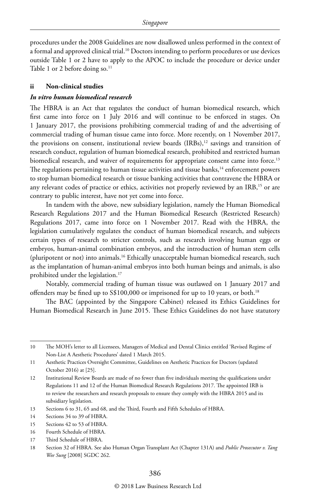procedures under the 2008 Guidelines are now disallowed unless performed in the context of a formal and approved clinical trial.10 Doctors intending to perform procedures or use devices outside Table 1 or 2 have to apply to the APOC to include the procedure or device under Table 1 or 2 before doing so. $11$ 

#### **ii Non-clinical studies**

#### *In vitro human biomedical research*

The HBRA is an Act that regulates the conduct of human biomedical research, which first came into force on 1 July 2016 and will continue to be enforced in stages. On 1 January 2017, the provisions prohibiting commercial trading of and the advertising of commercial trading of human tissue came into force. More recently, on 1 November 2017, the provisions on consent, institutional review boards  $(IRBs)$ ,<sup>12</sup> savings and transition of research conduct, regulation of human biomedical research, prohibited and restricted human biomedical research, and waiver of requirements for appropriate consent came into force.<sup>13</sup> The regulations pertaining to human tissue activities and tissue banks,<sup>14</sup> enforcement powers to stop human biomedical research or tissue banking activities that contravene the HBRA or any relevant codes of practice or ethics, activities not properly reviewed by an IRB,<sup>15</sup> or are contrary to public interest, have not yet come into force.

In tandem with the above, new subsidiary legislation, namely the Human Biomedical Research Regulations 2017 and the Human Biomedical Research (Restricted Research) Regulations 2017, came into force on 1 November 2017. Read with the HBRA, the legislation cumulatively regulates the conduct of human biomedical research, and subjects certain types of research to stricter controls, such as research involving human eggs or embryos, human-animal combination embryos, and the introduction of human stem cells (pluripotent or not) into animals.<sup>16</sup> Ethically unacceptable human biomedical research, such as the implantation of human-animal embryos into both human beings and animals, is also prohibited under the legislation.17

Notably, commercial trading of human tissue was outlawed on 1 January 2017 and offenders may be fined up to S\$100,000 or imprisoned for up to 10 years, or both.<sup>18</sup>

The BAC (appointed by the Singapore Cabinet) released its Ethics Guidelines for Human Biomedical Research in June 2015. These Ethics Guidelines do not have statutory

<sup>10</sup> The MOH's letter to all Licensees, Managers of Medical and Dental Clinics entitled 'Revised Regime of Non-List A Aesthetic Procedures' dated 1 March 2015.

<sup>11</sup> Aesthetic Practices Oversight Committee, Guidelines on Aesthetic Practices for Doctors (updated October 2016) at [25].

<sup>12</sup> Institutional Review Boards are made of no fewer than five individuals meeting the qualifications under Regulations 11 and 12 of the Human Biomedical Research Regulations 2017. The appointed IRB is to review the researchers and research proposals to ensure they comply with the HBRA 2015 and its subsidiary legislation.

<sup>13</sup> Sections 6 to 31, 65 and 68, and the Third, Fourth and Fifth Schedules of HBRA.

<sup>14</sup> Sections 34 to 39 of HBRA.

<sup>15</sup> Sections 42 to 53 of HBRA.

<sup>16</sup> Fourth Schedule of HBRA.

<sup>17</sup> Third Schedule of HBRA.

<sup>18</sup> Section 32 of HBRA. See also Human Organ Transplant Act (Chapter 131A) and *Public Prosecutor v. Tang Wee Sung* [2008] SGDC 262.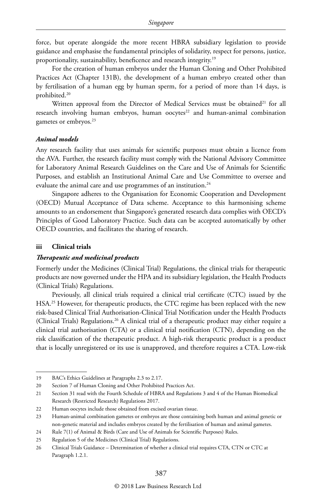force, but operate alongside the more recent HBRA subsidiary legislation to provide guidance and emphasise the fundamental principles of solidarity, respect for persons, justice, proportionality, sustainability, beneficence and research integrity.19

For the creation of human embryos under the Human Cloning and Other Prohibited Practices Act (Chapter 131B), the development of a human embryo created other than by fertilisation of a human egg by human sperm, for a period of more than 14 days, is prohibited.20

Written approval from the Director of Medical Services must be obtained<sup>21</sup> for all research involving human embryos, human oocytes<sup>22</sup> and human-animal combination gametes or embryos.23

#### *Animal models*

Any research facility that uses animals for scientific purposes must obtain a licence from the AVA. Further, the research facility must comply with the National Advisory Committee for Laboratory Animal Research Guidelines on the Care and Use of Animals for Scientific Purposes, and establish an Institutional Animal Care and Use Committee to oversee and evaluate the animal care and use programmes of an institution.<sup>24</sup>

Singapore adheres to the Organisation for Economic Cooperation and Development (OECD) Mutual Acceptance of Data scheme. Acceptance to this harmonising scheme amounts to an endorsement that Singapore's generated research data complies with OECD's Principles of Good Laboratory Practice. Such data can be accepted automatically by other OECD countries, and facilitates the sharing of research.

#### **iii Clinical trials**

#### *Therapeutic and medicinal products*

Formerly under the Medicines (Clinical Trial) Regulations, the clinical trials for therapeutic products are now governed under the HPA and its subsidiary legislation, the Health Products (Clinical Trials) Regulations.

Previously, all clinical trials required a clinical trial certificate (CTC) issued by the HSA.<sup>25</sup> However, for therapeutic products, the CTC regime has been replaced with the new risk-based Clinical Trial Authorisation-Clinical Trial Notification under the Health Products (Clinical Trials) Regulations.<sup>26</sup> A clinical trial of a therapeutic product may either require a clinical trial authorisation (CTA) or a clinical trial notification (CTN), depending on the risk classification of the therapeutic product. A high-risk therapeutic product is a product that is locally unregistered or its use is unapproved, and therefore requires a CTA. Low-risk

<sup>19</sup> BAC's Ethics Guidelines at Paragraphs 2.3 to 2.17.

<sup>20</sup> Section 7 of Human Cloning and Other Prohibited Practices Act.

<sup>21</sup> Section 31 read with the Fourth Schedule of HBRA and Regulations 3 and 4 of the Human Biomedical Research (Restricted Research) Regulations 2017.

<sup>22</sup> Human oocytes include those obtained from excised ovarian tissue.

<sup>23</sup> Human-animal combination gametes or embryos are those containing both human and animal genetic or non-genetic material and includes embryos created by the fertilisation of human and animal gametes.

<sup>24</sup> Rule 7(1) of Animal & Birds (Care and Use of Animals for Scientific Purposes) Rules.

<sup>25</sup> Regulation 5 of the Medicines (Clinical Trial) Regulations.

<sup>26</sup> Clinical Trials Guidance – Determination of whether a clinical trial requires CTA, CTN or CTC at Paragraph 1.2.1.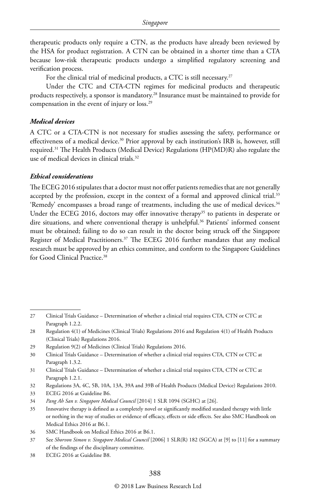therapeutic products only require a CTN, as the products have already been reviewed by the HSA for product registration. A CTN can be obtained in a shorter time than a CTA because low-risk therapeutic products undergo a simplified regulatory screening and verification process.

For the clinical trial of medicinal products, a CTC is still necessary.<sup>27</sup>

Under the CTC and CTA-CTN regimes for medicinal products and therapeutic products respectively, a sponsor is mandatory.28 Insurance must be maintained to provide for compensation in the event of injury or loss.29

#### *Medical devices*

A CTC or a CTA-CTN is not necessary for studies assessing the safety, performance or effectiveness of a medical device.<sup>30</sup> Prior approval by each institution's IRB is, however, still required.31 The Health Products (Medical Device) Regulations (HP(MD)R) also regulate the use of medical devices in clinical trials.<sup>32</sup>

#### *Ethical considerations*

The ECEG 2016 stipulates that a doctor must not offer patients remedies that are not generally accepted by the profession, except in the context of a formal and approved clinical trial.<sup>33</sup> 'Remedy' encompasses a broad range of treatments, including the use of medical devices.34 Under the ECEG 2016, doctors may offer innovative therapy<sup>35</sup> to patients in desperate or dire situations, and where conventional therapy is unhelpful.<sup>36</sup> Patients' informed consent must be obtained; failing to do so can result in the doctor being struck off the Singapore Register of Medical Practitioners.<sup>37</sup> The ECEG 2016 further mandates that any medical research must be approved by an ethics committee, and conform to the Singapore Guidelines for Good Clinical Practice.<sup>38</sup>

33 ECEG 2016 at Guideline B6.

<sup>27</sup> Clinical Trials Guidance – Determination of whether a clinical trial requires CTA, CTN or CTC at Paragraph 1.2.2.

<sup>28</sup> Regulation 4(1) of Medicines (Clinical Trials) Regulations 2016 and Regulation 4(1) of Health Products (Clinical Trials) Regulations 2016.

<sup>29</sup> Regulation 9(2) of Medicines (Clinical Trials) Regulations 2016.

<sup>30</sup> Clinical Trials Guidance – Determination of whether a clinical trial requires CTA, CTN or CTC at Paragraph 1.3.2.

<sup>31</sup> Clinical Trials Guidance – Determination of whether a clinical trial requires CTA, CTN or CTC at Paragraph 1.2.1.

<sup>32</sup> Regulations 3A, 4C, 5B, 10A, 13A, 39A and 39B of Health Products (Medical Device) Regulations 2010.

<sup>34</sup> *Pang Ah San v. Singapore Medical Council* [2014] 1 SLR 1094 (SGHC) at [26].

<sup>35</sup> Innovative therapy is defined as a completely novel or significantly modified standard therapy with little or nothing in the way of studies or evidence of efficacy, effects or side effects. See also SMC Handbook on Medical Ethics 2016 at B6.1.

<sup>36</sup> SMC Handbook on Medical Ethics 2016 at B6.1.

<sup>37</sup> See *Shorvon Simon v. Singapore Medical Council* [2006] 1 SLR(R) 182 (SGCA) at [9] to [11] for a summary of the findings of the disciplinary committee.

<sup>38</sup> ECEG 2016 at Guideline B8.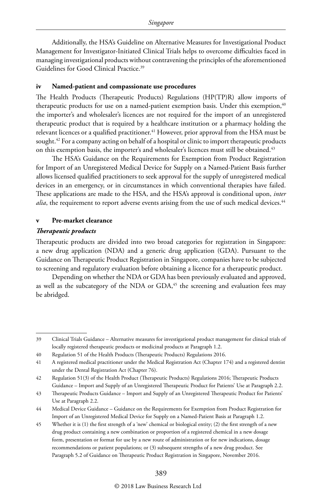Additionally, the HSA's Guideline on Alternative Measures for Investigational Product Management for Investigator-Initiated Clinical Trials helps to overcome difficulties faced in managing investigational products without contravening the principles of the aforementioned Guidelines for Good Clinical Practice.<sup>39</sup>

#### **iv Named-patient and compassionate use procedures**

The Health Products (Therapeutic Products) Regulations (HP(TP)R) allow imports of therapeutic products for use on a named-patient exemption basis. Under this exemption,<sup>40</sup> the importer's and wholesaler's licences are not required for the import of an unregistered therapeutic product that is required by a healthcare institution or a pharmacy holding the relevant licences or a qualified practitioner.<sup>41</sup> However, prior approval from the HSA must be sought.<sup>42</sup> For a company acting on behalf of a hospital or clinic to import therapeutic products on this exemption basis, the importer's and wholesaler's licences must still be obtained.<sup>43</sup>

The HSA's Guidance on the Requirements for Exemption from Product Registration for Import of an Unregistered Medical Device for Supply on a Named-Patient Basis further allows licensed qualified practitioners to seek approval for the supply of unregistered medical devices in an emergency, or in circumstances in which conventional therapies have failed. These applications are made to the HSA, and the HSA's approval is conditional upon, *inter alia*, the requirement to report adverse events arising from the use of such medical devices.<sup>44</sup>

#### **v Pre-market clearance**

#### *Therapeutic products*

Therapeutic products are divided into two broad categories for registration in Singapore: a new drug application (NDA) and a generic drug application (GDA). Pursuant to the Guidance on Therapeutic Product Registration in Singapore, companies have to be subjected to screening and regulatory evaluation before obtaining a licence for a therapeutic product.

Depending on whether the NDA or GDA has been previously evaluated and approved, as well as the subcategory of the NDA or GDA,<sup>45</sup> the screening and evaluation fees may be abridged.

<sup>39</sup> Clinical Trials Guidance – Alternative measures for investigational product management for clinical trials of locally registered therapeutic products or medicinal products at Paragraph 1.2.

<sup>40</sup> Regulation 51 of the Health Products (Therapeutic Products) Regulations 2016.

<sup>41</sup> A registered medical practitioner under the Medical Registration Act (Chapter 174) and a registered dentist under the Dental Registration Act (Chapter 76).

<sup>42</sup> Regulation 51(3) of the Health Product (Therapeutic Products) Regulations 2016; Therapeutic Products Guidance – Import and Supply of an Unregistered Therapeutic Product for Patients' Use at Paragraph 2.2.

<sup>43</sup> Therapeutic Products Guidance – Import and Supply of an Unregistered Therapeutic Product for Patients' Use at Paragraph 2.2.

<sup>44</sup> Medical Device Guidance – Guidance on the Requirements for Exemption from Product Registration for Import of an Unregistered Medical Device for Supply on a Named-Patient Basis at Paragraph 1.2.

<sup>45</sup> Whether it is (1) the first strength of a 'new' chemical or biological entity; (2) the first strength of a new drug product containing a new combination or proportion of a registered chemical in a new dosage form, presentation or format for use by a new route of administration or for new indications, dosage recommendations or patient populations; or (3) subsequent strengths of a new drug product. See Paragraph 5.2 of Guidance on Therapeutic Product Registration in Singapore, November 2016.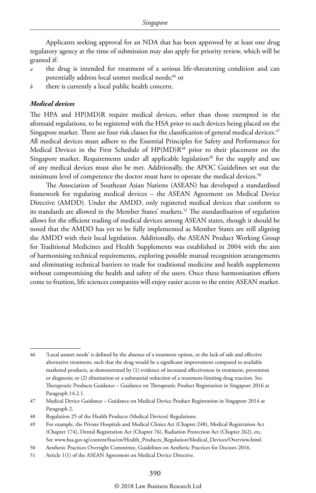Applicants seeking approval for an NDA that has been approved by at least one drug regulatory agency at the time of submission may also apply for priority review, which will be granted if:

- *a* the drug is intended for treatment of a serious life-threatening condition and can potentially address local unmet medical needs;<sup>46</sup> or
- *b* there is currently a local public health concern.

#### *Medical devices*

The HPA and HP(MD)R require medical devices, other than those exempted in the aforesaid regulations, to be registered with the HSA prior to such devices being placed on the Singapore market. There are four risk classes for the classification of general medical devices.<sup>47</sup> All medical devices must adhere to the Essential Principles for Safety and Performance for Medical Devices in the First Schedule of HP(MD)R<sup>48</sup> prior to their placement on the Singapore market. Requirements under all applicable legislation<sup>49</sup> for the supply and use of any medical devices must also be met. Additionally, the APOC Guidelines set out the minimum level of competence the doctor must have to operate the medical devices.<sup>50</sup>

The Association of Southeast Asian Nations (ASEAN) has developed a standardised framework for regulating medical devices – the ASEAN Agreement on Medical Device Directive (AMDD). Under the AMDD, only registered medical devices that conform to its standards are allowed in the Member States' markets.<sup>51</sup> The standardisation of regulation allows for the efficient trading of medical devices among ASEAN states, though it should be noted that the AMDD has yet to be fully implemented as Member States are still aligning the AMDD with their local legislation. Additionally, the ASEAN Product Working Group for Traditional Medicines and Health Supplements was established in 2004 with the aim of harmonising technical requirements, exploring possible mutual recognition arrangements and eliminating technical barriers to trade for traditional medicine and health supplements without compromising the health and safety of the users. Once these harmonisation efforts come to fruition, life sciences companies will enjoy easier access to the entire ASEAN market.

<sup>46</sup> 'Local unmet needs' is defined by the absence of a treatment option, or the lack of safe and effective alternative treatment, such that the drug would be a significant improvement compared to available marketed products, as demonstrated by (1) evidence of increased effectiveness in treatment, prevention or diagnosis; or (2) elimination or a substantial reduction of a treatment-limiting drug reaction. See Therapeutic Products Guidance – Guidance on Therapeutic Product Registration in Singapore 2016 at Paragraph 14.2.1.

<sup>47</sup> Medical Device Guidance – Guidance on Medical Device Product Registration in Singapore 2014 at Paragraph 2.

<sup>48</sup> Regulation 25 of the Health Products (Medical Devices) Regulations.

<sup>49</sup> For example, the Private Hospitals and Medical Clinics Act (Chapter 248), Medical Registration Act (Chapter 174), Dental Registration Act (Chapter 76), Radiation Protection Act (Chapter 262), etc. See www.hsa.gov.sg/content/hsa/en/Health\_Products\_Regulation/Medical\_Devices/Overview.html.

<sup>50</sup> Aesthetic Practices Oversight Committee, Guidelines on Aesthetic Practices for Doctors 2016.

<sup>51</sup> Article 1(1) of the ASEAN Agreement on Medical Device Directive.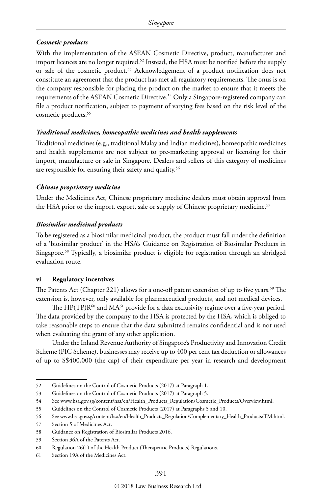#### *Cosmetic products*

With the implementation of the ASEAN Cosmetic Directive, product, manufacturer and import licences are no longer required.<sup>52</sup> Instead, the HSA must be notified before the supply or sale of the cosmetic product.53 Acknowledgement of a product notification does not constitute an agreement that the product has met all regulatory requirements. The onus is on the company responsible for placing the product on the market to ensure that it meets the requirements of the ASEAN Cosmetic Directive.<sup>54</sup> Only a Singapore-registered company can file a product notification, subject to payment of varying fees based on the risk level of the cosmetic products.55

#### *Traditional medicines, homeopathic medicines and health supplements*

Traditional medicines (e.g., traditional Malay and Indian medicines), homeopathic medicines and health supplements are not subject to pre-marketing approval or licensing for their import, manufacture or sale in Singapore. Dealers and sellers of this category of medicines are responsible for ensuring their safety and quality.<sup>56</sup>

#### *Chinese proprietary medicine*

Under the Medicines Act, Chinese proprietary medicine dealers must obtain approval from the HSA prior to the import, export, sale or supply of Chinese proprietary medicine.<sup>57</sup>

#### *Biosimilar medicinal products*

To be registered as a biosimilar medicinal product, the product must fall under the definition of a 'biosimilar product' in the HSA's Guidance on Registration of Biosimilar Products in Singapore.58 Typically, a biosimilar product is eligible for registration through an abridged evaluation route.

#### **vi Regulatory incentives**

The Patents Act (Chapter 221) allows for a one-off patent extension of up to five years.<sup>59</sup> The extension is, however, only available for pharmaceutical products, and not medical devices.

The  $HP(TP)R^{60}$  and  $MA^{61}$  provide for a data exclusivity regime over a five-year period. The data provided by the company to the HSA is protected by the HSA, which is obliged to take reasonable steps to ensure that the data submitted remains confidential and is not used when evaluating the grant of any other application.

Under the Inland Revenue Authority of Singapore's Productivity and Innovation Credit Scheme (PIC Scheme), businesses may receive up to 400 per cent tax deduction or allowances of up to S\$400,000 (the cap) of their expenditure per year in research and development

59 Section 36A of the Patents Act.

<sup>52</sup> Guidelines on the Control of Cosmetic Products (2017) at Paragraph 1.

<sup>53</sup> Guidelines on the Control of Cosmetic Products (2017) at Paragraph 5.

<sup>54</sup> See www.hsa.gov.sg/content/hsa/en/Health\_Products\_Regulation/Cosmetic\_Products/Overview.html.

<sup>55</sup> Guidelines on the Control of Cosmetic Products (2017) at Paragraphs 5 and 10.

<sup>56</sup> See www.hsa.gov.sg/content/hsa/en/Health\_Products\_Regulation/Complementary\_Health\_Products/TM.html.

<sup>57</sup> Section 5 of Medicines Act.

<sup>58</sup> Guidance on Registration of Biosimilar Products 2016.

<sup>60</sup> Regulation 26(1) of the Health Product (Therapeutic Products) Regulations.

<sup>61</sup> Section 19A of the Medicines Act.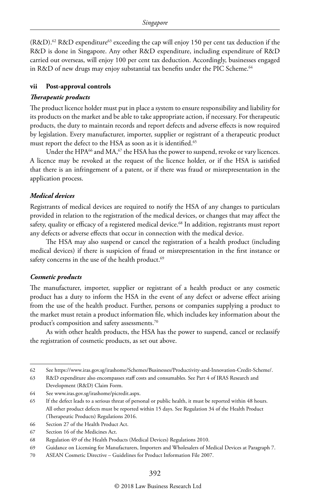$(R&D).$ <sup>62</sup> R&D expenditure<sup>63</sup> exceeding the cap will enjoy 150 per cent tax deduction if the R&D is done in Singapore. Any other R&D expenditure, including expenditure of R&D carried out overseas, will enjoy 100 per cent tax deduction. Accordingly, businesses engaged in R&D of new drugs may enjoy substantial tax benefits under the PIC Scheme.<sup>64</sup>

#### **vii Post-approval controls**

#### *Therapeutic products*

The product licence holder must put in place a system to ensure responsibility and liability for its products on the market and be able to take appropriate action, if necessary. For therapeutic products, the duty to maintain records and report defects and adverse effects is now required by legislation. Every manufacturer, importer, supplier or registrant of a therapeutic product must report the defect to the HSA as soon as it is identified.<sup>65</sup>

Under the HPA<sup>66</sup> and MA,<sup>67</sup> the HSA has the power to suspend, revoke or vary licences. A licence may be revoked at the request of the licence holder, or if the HSA is satisfied that there is an infringement of a patent, or if there was fraud or misrepresentation in the application process.

#### *Medical devices*

Registrants of medical devices are required to notify the HSA of any changes to particulars provided in relation to the registration of the medical devices, or changes that may affect the safety, quality or efficacy of a registered medical device.<sup>68</sup> In addition, registrants must report any defects or adverse effects that occur in connection with the medical device.

The HSA may also suspend or cancel the registration of a health product (including medical devices) if there is suspicion of fraud or misrepresentation in the first instance or safety concerns in the use of the health product.<sup>69</sup>

#### *Cosmetic products*

The manufacturer, importer, supplier or registrant of a health product or any cosmetic product has a duty to inform the HSA in the event of any defect or adverse effect arising from the use of the health product. Further, persons or companies supplying a product to the market must retain a product information file, which includes key information about the product's composition and safety assessments.70

As with other health products, the HSA has the power to suspend, cancel or reclassify the registration of cosmetic products, as set out above.

<sup>62</sup> See https://www.iras.gov.sg/irashome/Schemes/Businesses/Productivity-and-Innovation-Credit-Scheme/.

<sup>63</sup> R&D expenditure also encompasses staff costs and consumables. See Part 4 of IRAS Research and Development (R&D) Claim Form.

<sup>64</sup> See www.iras.gov.sg/irashome/picredit.aspx.

<sup>65</sup> If the defect leads to a serious threat of personal or public health, it must be reported within 48 hours. All other product defects must be reported within 15 days. See Regulation 34 of the Health Product (Therapeutic Products) Regulations 2016.

<sup>66</sup> Section 27 of the Health Product Act.

<sup>67</sup> Section 16 of the Medicines Act.

<sup>68</sup> Regulation 49 of the Health Products (Medical Devices) Regulations 2010.

<sup>69</sup> Guidance on Licensing for Manufacturers, Importers and Wholesalers of Medical Devices at Paragraph 7.

<sup>70</sup> ASEAN Cosmetic Directive – Guidelines for Product Information File 2007.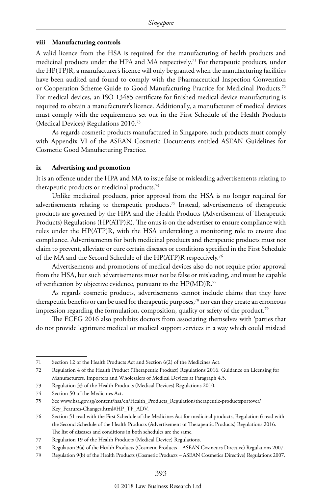#### **viii Manufacturing controls**

A valid licence from the HSA is required for the manufacturing of health products and medicinal products under the HPA and MA respectively.<sup>71</sup> For therapeutic products, under the HP(TP)R, a manufacturer's licence will only be granted when the manufacturing facilities have been audited and found to comply with the Pharmaceutical Inspection Convention or Cooperation Scheme Guide to Good Manufacturing Practice for Medicinal Products.<sup>72</sup> For medical devices, an ISO 13485 certificate for finished medical device manufacturing is required to obtain a manufacturer's licence. Additionally, a manufacturer of medical devices must comply with the requirements set out in the First Schedule of the Health Products (Medical Devices) Regulations 2010.73

As regards cosmetic products manufactured in Singapore, such products must comply with Appendix VI of the ASEAN Cosmetic Documents entitled ASEAN Guidelines for Cosmetic Good Manufacturing Practice.

#### **ix Advertising and promotion**

It is an offence under the HPA and MA to issue false or misleading advertisements relating to therapeutic products or medicinal products.<sup>74</sup>

Unlike medicinal products, prior approval from the HSA is no longer required for advertisements relating to therapeutic products.75 Instead, advertisements of therapeutic products are governed by the HPA and the Health Products (Advertisement of Therapeutic Products) Regulations (HP(ATP)R). The onus is on the advertiser to ensure compliance with rules under the HP(ATP)R, with the HSA undertaking a monitoring role to ensure due compliance. Advertisements for both medicinal products and therapeutic products must not claim to prevent, alleviate or cure certain diseases or conditions specified in the First Schedule of the MA and the Second Schedule of the HP(ATP)R respectively.76

Advertisements and promotions of medical devices also do not require prior approval from the HSA, but such advertisements must not be false or misleading, and must be capable of verification by objective evidence, pursuant to the HP(MD)R.77

As regards cosmetic products, advertisements cannot include claims that they have therapeutic benefits or can be used for therapeutic purposes,<sup>78</sup> nor can they create an erroneous impression regarding the formulation, composition, quality or safety of the product.<sup>79</sup>

The ECEG 2016 also prohibits doctors from associating themselves with 'parties that do not provide legitimate medical or medical support services in a way which could mislead

<sup>71</sup> Section 12 of the Health Products Act and Section 6(2) of the Medicines Act.

<sup>72</sup> Regulation 4 of the Health Product (Therapeutic Product) Regulations 2016. Guidance on Licensing for Manufacturers, Importers and Wholesalers of Medical Devices at Paragraph 4.5.

<sup>73</sup> Regulation 33 of the Health Products (Medical Devices) Regulations 2010.

<sup>74</sup> Section 50 of the Medicines Act.

<sup>75</sup> See www.hsa.gov.sg/content/hsa/en/Health\_Products\_Regulation/therapeutic-productsportover/ Key\_Features-Changes.html#HP\_TP\_ADV.

<sup>76</sup> Section 51 read with the First Schedule of the Medicines Act for medicinal products, Regulation 6 read with the Second Schedule of the Health Products (Advertisement of Therapeutic Products) Regulations 2016. The list of diseases and conditions in both schedules are the same.

<sup>77</sup> Regulation 19 of the Health Products (Medical Device) Regulations.

<sup>78</sup> Regulation 9(a) of the Health Products (Cosmetic Products – ASEAN Cosmetics Directive) Regulations 2007.

<sup>79</sup> Regulation 9(b) of the Health Products (Cosmetic Products – ASEAN Cosmetics Directive) Regulations 2007.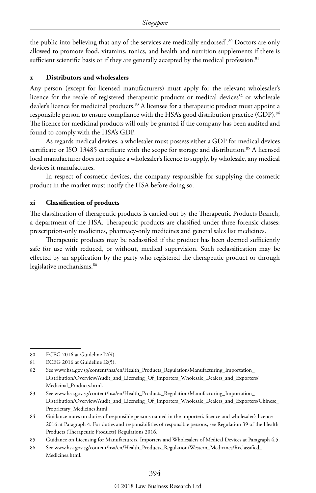the public into believing that any of the services are medically endorsed'.80 Doctors are only allowed to promote food, vitamins, tonics, and health and nutrition supplements if there is sufficient scientific basis or if they are generally accepted by the medical profession.<sup>81</sup>

#### **x Distributors and wholesalers**

Any person (except for licensed manufacturers) must apply for the relevant wholesaler's licence for the resale of registered therapeutic products or medical devices $82$  or wholesale dealer's licence for medicinal products.<sup>83</sup> A licensee for a therapeutic product must appoint a responsible person to ensure compliance with the HSA's good distribution practice (GDP).<sup>84</sup> The licence for medicinal products will only be granted if the company has been audited and found to comply with the HSA's GDP.

As regards medical devices, a wholesaler must possess either a GDP for medical devices certificate or ISO 13485 certificate with the scope for storage and distribution.<sup>85</sup> A licensed local manufacturer does not require a wholesaler's licence to supply, by wholesale, any medical devices it manufactures.

In respect of cosmetic devices, the company responsible for supplying the cosmetic product in the market must notify the HSA before doing so.

#### **xi Classification of products**

The classification of therapeutic products is carried out by the Therapeutic Products Branch, a department of the HSA. Therapeutic products are classified under three forensic classes: prescription-only medicines, pharmacy-only medicines and general sales list medicines.

Therapeutic products may be reclassified if the product has been deemed sufficiently safe for use with reduced, or without, medical supervision. Such reclassification may be effected by an application by the party who registered the therapeutic product or through legislative mechanisms.<sup>86</sup>

<sup>80</sup> ECEG 2016 at Guideline I2(4).

<sup>81</sup> ECEG 2016 at Guideline I2(5).

<sup>82</sup> See www.hsa.gov.sg/content/hsa/en/Health\_Products\_Regulation/Manufacturing\_Importation\_ Distribution/Overview/Audit\_and\_Licensing\_Of\_Importers\_Wholesale\_Dealers\_and\_Exporters/ Medicinal\_Products.html.

<sup>83</sup> See www.hsa.gov.sg/content/hsa/en/Health\_Products\_Regulation/Manufacturing\_Importation\_ Distribution/Overview/Audit\_and\_Licensing\_Of\_Importers\_Wholesale\_Dealers\_and\_Exporters/Chinese\_ Proprietary\_Medicines.html.

<sup>84</sup> Guidance notes on duties of responsible persons named in the importer's licence and wholesaler's licence 2016 at Paragraph 4. For duties and responsibilities of responsible persons, see Regulation 39 of the Health Products (Therapeutic Products) Regulations 2016.

<sup>85</sup> Guidance on Licensing for Manufacturers, Importers and Wholesalers of Medical Devices at Paragraph 4.5.

<sup>86</sup> See www.hsa.gov.sg/content/hsa/en/Health\_Products\_Regulation/Western\_Medicines/Reclassified\_ Medicines.html.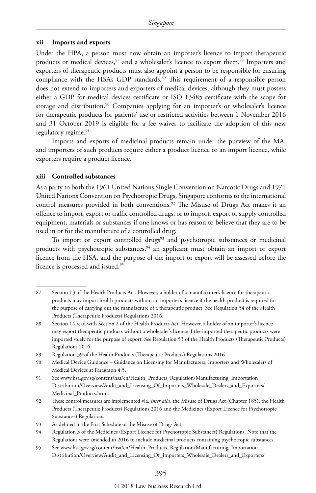#### **xii Imports and exports**

Under the HPA, a person must now obtain an importer's licence to import therapeutic products or medical devices, 87 and a wholesaler's licence to export them.88 Importers and exporters of therapeutic products must also appoint a person to be responsible for ensuring compliance with the HSA's GDP standards.<sup>89</sup> This requirement of a responsible person does not extend to importers and exporters of medical devices, although they must possess either a GDP for medical devices certificate or ISO 13485 certificate with the scope for storage and distribution.<sup>90</sup> Companies applying for an importer's or wholesaler's licence for therapeutic products for patients' use or restricted activities between 1 November 2016 and 31 October 2019 is eligible for a fee waiver to facilitate the adoption of this new regulatory regime.<sup>91</sup>

Imports and exports of medicinal products remain under the purview of the MA, and importers of such products require either a product licence or an import licence, while exporters require a product licence.

#### **xiii Controlled substances**

As a party to both the 1961 United Nations Single Convention on Narcotic Drugs and 1971 United Nations Convention on Psychotropic Drugs, Singapore conforms to the international control measures provided in both conventions.<sup>92</sup> The Misuse of Drugs Act makes it an offence to import, export or traffic controlled drugs, or to import, export or supply controlled equipment, materials or substances if one knows or has reason to believe that they are to be used in or for the manufacture of a controlled drug.

To import or export controlled drugs<sup>93</sup> and psychotropic substances or medicinal products with psychotropic substances,94 an applicant must obtain an import or export licence from the HSA, and the purpose of the import or export will be assessed before the licence is processed and issued.95

<sup>87</sup> Section 13 of the Health Products Act. However, a holder of a manufacturer's licence for therapeutic products may import health products without an importer's licence if the health product is required for the purpose of carrying out the manufacture of a therapeutic product. See Regulation 54 of the Health Products (Therapeutic Products) Regulations 2016.

<sup>88</sup> Section 14 read with Section 2 of the Health Products Act. However, a holder of an importer's licence may export therapeutic products without a wholesaler's licence if the imported therapeutic products were imported solely for the purpose of export. See Regulation 53 of the Health Products (Therapeutic Products) Regulations 2016.

<sup>89</sup> Regulation 39 of the Health Products (Therapeutic Products) Regulations 2016.

<sup>90</sup> Medical Device Guidance – Guidance on Licensing for Manufacturers, Importers and Wholesalers of Medical Devices at Paragraph 4.5.

<sup>91</sup> See www.hsa.gov.sg/content/hsa/en/Health\_Products\_Regulation/Manufacturing\_Importation\_ Distribution/Overview/Audit\_and\_Licensing\_Of\_Importers\_Wholesale\_Dealers\_and\_Exporters/ Medicinal\_Products.html.

<sup>92</sup> These control measures are implemented via, *inter alia*, the Misuse of Drugs Act (Chapter 185), the Health Products (Therapeutic Products) Regulations 2016 and the Medicines (Export Licence for Psychotropic Substances) Regulations.

<sup>93</sup> As defined in the First Schedule of the Misuse of Drugs Act.

<sup>94</sup> Regulation 3 of the Medicines (Export Licence for Psychotropic Substances) Regulations. Note that the Regulations were amended in 2016 to include medicinal products containing psychotropic substances.

<sup>95</sup> See www.hsa.gov.sg/content/hsa/en/Health\_Products\_Regulation/Manufacturing\_Importation\_ Distribution/Overview/Audit\_and\_Licensing\_Of\_Importers\_Wholesale\_Dealers\_and\_Exporters/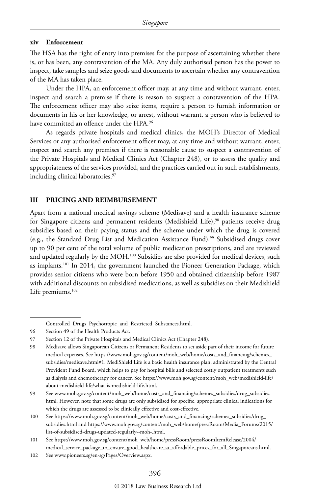#### **xiv Enforcement**

The HSA has the right of entry into premises for the purpose of ascertaining whether there is, or has been, any contravention of the MA. Any duly authorised person has the power to inspect, take samples and seize goods and documents to ascertain whether any contravention of the MA has taken place.

Under the HPA, an enforcement officer may, at any time and without warrant, enter, inspect and search a premise if there is reason to suspect a contravention of the HPA. The enforcement officer may also seize items, require a person to furnish information or documents in his or her knowledge, or arrest, without warrant, a person who is believed to have committed an offence under the HPA.<sup>96</sup>

As regards private hospitals and medical clinics, the MOH's Director of Medical Services or any authorised enforcement officer may, at any time and without warrant, enter, inspect and search any premises if there is reasonable cause to suspect a contravention of the Private Hospitals and Medical Clinics Act (Chapter 248), or to assess the quality and appropriateness of the services provided, and the practices carried out in such establishments, including clinical laboratories.<sup>97</sup>

#### **III PRICING AND REIMBURSEMENT**

Apart from a national medical savings scheme (Medisave) and a health insurance scheme for Singapore citizens and permanent residents (Medishield Life),<sup>98</sup> patients receive drug subsidies based on their paying status and the scheme under which the drug is covered (e.g., the Standard Drug List and Medication Assistance Fund).99 Subsidised drugs cover up to 90 per cent of the total volume of public medication prescriptions, and are reviewed and updated regularly by the MOH.<sup>100</sup> Subsidies are also provided for medical devices, such as implants.101 In 2014, the government launched the Pioneer Generation Package, which provides senior citizens who were born before 1950 and obtained citizenship before 1987 with additional discounts on subsidised medications, as well as subsidies on their Medishield Life premiums.<sup>102</sup>

Controlled\_Drugs\_Psychotropic\_and\_Restricted\_Substances.html.

<sup>96</sup> Section 49 of the Health Products Act.

<sup>97</sup> Section 12 of the Private Hospitals and Medical Clinics Act (Chapter 248).

<sup>98</sup> Medisave allows Singaporean Citizens or Permanent Residents to set aside part of their income for future medical expenses. See https://www.moh.gov.sg/content/moh\_web/home/costs\_and\_financing/schemes\_ subsidies/medisave.html#1. MediShield Life is a basic health insurance plan, administrated by the Central Provident Fund Board, which helps to pay for hospital bills and selected costly outpatient treatments such as dialysis and chemotherapy for cancer. See https://www.moh.gov.sg/content/moh\_web/medishield-life/ about-medishield-life/what-is-medishield-life.html.

<sup>99</sup> See www.moh.gov.sg/content/moh\_web/home/costs\_and\_financing/schemes\_subsidies/drug\_subsidies. html. However, note that some drugs are only subsidised for specific, appropriate clinical indications for which the drugs are assessed to be clinically effective and cost-effective.

<sup>100</sup> See https://www.moh.gov.sg/content/moh\_web/home/costs\_and\_financing/schemes\_subsidies/drug\_ subsidies.html and https://www.moh.gov.sg/content/moh\_web/home/pressRoom/Media\_Forums/2015/ list-of-subsidised-drugs-updated-regularly--moh-.html.

<sup>101</sup> See https://www.moh.gov.sg/content/moh\_web/home/pressRoom/pressRoomItemRelease/2004/ medical\_service\_package\_to\_ensure\_good\_healthcare\_at\_affordable\_prices\_for\_all\_Singaporeans.html.

<sup>102</sup> See www.pioneers.sg/en-sg/Pages/Overview.aspx.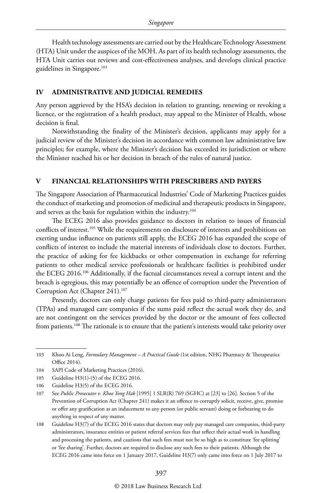Health technology assessments are carried out by the Healthcare Technology Assessment (HTA) Unit under the auspices of the MOH. As part of its health technology assessments, the HTA Unit carries out reviews and cost-effectiveness analyses, and develops clinical practice guidelines in Singapore.<sup>103</sup>

#### **IV ADMINISTRATIVE AND JUDICIAL REMEDIES**

Any person aggrieved by the HSA's decision in relation to granting, renewing or revoking a licence, or the registration of a health product, may appeal to the Minister of Health, whose decision is final.

Notwithstanding the finality of the Minister's decision, applicants may apply for a judicial review of the Minister's decision in accordance with common law administrative law principles; for example, where the Minister's decision has exceeded its jurisdiction or where the Minister reached his or her decision in breach of the rules of natural justice.

#### **V FINANCIAL RELATIONSHIPS WITH PRESCRIBERS AND PAYERS**

The Singapore Association of Pharmaceutical Industries' Code of Marketing Practices guides the conduct of marketing and promotion of medicinal and therapeutic products in Singapore, and serves as the basis for regulation within the industry.<sup>104</sup>

The ECEG 2016 also provides guidance to doctors in relation to issues of financial conflicts of interest.105 While the requirements on disclosure of interests and prohibitions on exerting undue influence on patients still apply, the ECEG 2016 has expanded the scope of conflicts of interest to include the material interests of individuals close to doctors. Further, the practice of asking for fee kickbacks or other compensation in exchange for referring patients to other medical service professionals or healthcare facilities is prohibited under the ECEG 2016.106 Additionally, if the factual circumstances reveal a corrupt intent and the breach is egregious, this may potentially be an offence of corruption under the Prevention of Corruption Act (Chapter 241).107

Presently, doctors can only charge patients for fees paid to third-party administrators (TPAs) and managed care companies if the sums paid reflect the actual work they do, and are not contingent on the services provided by the doctor or the amount of fees collected from patients.<sup>108</sup> The rationale is to ensure that the patient's interests would take priority over

<sup>103</sup> Khoo Ai Leng, *Formulary Management – A Practical Guide* (1st edition, NHG Pharmacy & Therapeutics Office 2014).

<sup>104</sup> SAPI Code of Marketing Practices (2016).

<sup>105</sup> Guideline H3(1)-(5) of the ECEG 2016.

<sup>106</sup> Guideline H3(5) of the ECEG 2016.

<sup>107</sup> See *Public Prosecutor v. Khoo Yong Hak* [1995] 1 SLR(R) 769 (SGHC) at [23] to [26]. Section 5 of the Prevention of Corruption Act (Chapter 241) makes it an offence to corruptly solicit, receive, give, promise or offer any gratification as an inducement to any person (or public servant) doing or forbearing to do anything in respect of any matter.

<sup>108</sup> Guideline H3(7) of the ECEG 2016 states that doctors may only pay managed care companies, third-party administrators, insurance entities or patient referral services fees that reflect their actual work in handling and processing the patients, and cautions that such fees must not be so high as to constitute 'fee splitting' or 'fee sharing'. Further, doctors are required to disclose any such fees to their patients. Although the ECEG 2016 came into force on 1 January 2017, Guideline H3(7) only came into force on 1 July 2017 to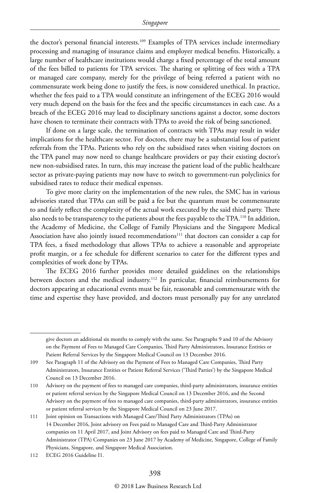the doctor's personal financial interests.<sup>109</sup> Examples of TPA services include intermediary processing and managing of insurance claims and employer medical benefits. Historically, a large number of healthcare institutions would charge a fixed percentage of the total amount of the fees billed to patients for TPA services. The sharing or splitting of fees with a TPA or managed care company, merely for the privilege of being referred a patient with no commensurate work being done to justify the fees, is now considered unethical. In practice, whether the fees paid to a TPA would constitute an infringement of the ECEG 2016 would very much depend on the basis for the fees and the specific circumstances in each case. As a breach of the ECEG 2016 may lead to disciplinary sanctions against a doctor, some doctors have chosen to terminate their contracts with TPAs to avoid the risk of being sanctioned.

If done on a large scale, the termination of contracts with TPAs may result in wider implications for the healthcare sector. For doctors, there may be a substantial loss of patient referrals from the TPAs. Patients who rely on the subsidised rates when visiting doctors on the TPA panel may now need to change healthcare providers or pay their existing doctor's new non-subsidised rates. In turn, this may increase the patient load of the public healthcare sector as private-paying patients may now have to switch to government-run polyclinics for subsidised rates to reduce their medical expenses.

To give more clarity on the implementation of the new rules, the SMC has in various advisories stated that TPAs can still be paid a fee but the quantum must be commensurate to and fairly reflect the complexity of the actual work executed by the said third party. There also needs to be transparency to the patients about the fees payable to the TPA.<sup>110</sup> In addition, the Academy of Medicine, the College of Family Physicians and the Singapore Medical Association have also jointly issued recommendations<sup>111</sup> that doctors can consider a cap for TPA fees, a fixed methodology that allows TPAs to achieve a reasonable and appropriate profit margin, or a fee schedule for different scenarios to cater for the different types and complexities of work done by TPAs.

The ECEG 2016 further provides more detailed guidelines on the relationships between doctors and the medical industry.112 In particular, financial reimbursements for doctors appearing at educational events must be fair, reasonable and commensurate with the time and expertise they have provided, and doctors must personally pay for any unrelated

112 ECEG 2016 Guideline I1.

give doctors an additional six months to comply with the same. See Paragraphs 9 and 10 of the Advisory on the Payment of Fees to Managed Care Companies, Third Party Administrators, Insurance Entities or Patient Referral Services by the Singapore Medical Council on 13 December 2016.

<sup>109</sup> See Paragraph 11 of the Advisory on the Payment of Fees to Managed Care Companies, Third Party Administrators, Insurance Entities or Patient Referral Services ('Third Parties') by the Singapore Medical Council on 13 December 2016.

<sup>110</sup> Advisory on the payment of fees to managed care companies, third-party administrators, insurance entities or patient referral services by the Singapore Medical Council on 13 December 2016, and the Second Advisory on the payment of fees to managed care companies, third-party administrators, insurance entities or patient referral services by the Singapore Medical Council on 23 June 2017.

<sup>111</sup> Joint opinion on Transactions with Managed Care/Third Party Administrators (TPAs) on 14 December 2016, Joint advisory on Fees paid to Managed Care and Third-Party Administrator companies on 11 April 2017, and Joint Advisory on fees paid to Managed Care and Third-Party Administrator (TPA) Companies on 23 June 2017 by Academy of Medicine, Singapore, College of Family Physicians, Singapore, and Singapore Medical Association.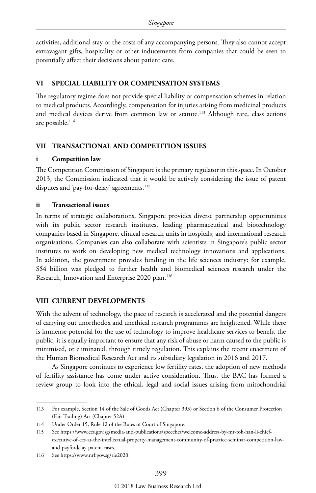activities, additional stay or the costs of any accompanying persons. They also cannot accept extravagant gifts, hospitality or other inducements from companies that could be seen to potentially affect their decisions about patient care.

#### **VI SPECIAL LIABILITY OR COMPENSATION SYSTEMS**

The regulatory regime does not provide special liability or compensation schemes in relation to medical products. Accordingly, compensation for injuries arising from medicinal products and medical devices derive from common law or statute.<sup>113</sup> Although rare, class actions are possible. $114$ 

#### **VII TRANSACTIONAL AND COMPETITION ISSUES**

#### **i Competition law**

The Competition Commission of Singapore is the primary regulator in this space. In October 2013, the Commission indicated that it would be actively considering the issue of patent disputes and 'pay-for-delay' agreements.<sup>115</sup>

#### **ii Transactional issues**

In terms of strategic collaborations, Singapore provides diverse partnership opportunities with its public sector research institutes, leading pharmaceutical and biotechnology companies based in Singapore, clinical research units in hospitals, and international research organisations. Companies can also collaborate with scientists in Singapore's public sector institutes to work on developing new medical technology innovations and applications. In addition, the government provides funding in the life sciences industry: for example, S\$4 billion was pledged to further health and biomedical sciences research under the Research, Innovation and Enterprise 2020 plan.<sup>116</sup>

#### **VIII CURRENT DEVELOPMENTS**

With the advent of technology, the pace of research is accelerated and the potential dangers of carrying out unorthodox and unethical research programmes are heightened. While there is immense potential for the use of technology to improve healthcare services to benefit the public, it is equally important to ensure that any risk of abuse or harm caused to the public is minimised, or eliminated, through timely regulation. This explains the recent enactment of the Human Biomedical Research Act and its subsidiary legislation in 2016 and 2017.

As Singapore continues to experience low fertility rates, the adoption of new methods of fertility assistance has come under active consideration. Thus, the BAC has formed a review group to look into the ethical, legal and social issues arising from mitochondrial

<sup>113</sup> For example, Section 14 of the Sale of Goods Act (Chapter 393) or Section 6 of the Consumer Protection (Fair Trading) Act (Chapter 52A).

<sup>114</sup> Under Order 15, Rule 12 of the Rules of Court of Singapore.

<sup>115</sup> See https://www.ccs.gov.sg/media-and-publications/speeches/welcome-address-by-mr-toh-han-li-chiefexecutive-of-ccs-at-the-intellectual-property-management-community-of-practice-seminar-competition-lawand-payfordelay-patent-cases.

<sup>116</sup> See https://www.nrf.gov.sg/rie2020.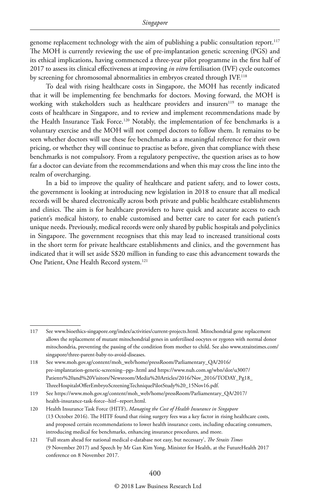genome replacement technology with the aim of publishing a public consultation report.<sup>117</sup> The MOH is currently reviewing the use of pre-implantation genetic screening (PGS) and its ethical implications, having commenced a three-year pilot programme in the first half of 2017 to assess its clinical effectiveness at improving *in vitro* fertilisation (IVF) cycle outcomes by screening for chromosomal abnormalities in embryos created through IVF.<sup>118</sup>

To deal with rising healthcare costs in Singapore, the MOH has recently indicated that it will be implementing fee benchmarks for doctors. Moving forward, the MOH is working with stakeholders such as healthcare providers and insurers<sup>119</sup> to manage the costs of healthcare in Singapore, and to review and implement recommendations made by the Health Insurance Task Force.<sup>120</sup> Notably, the implementation of fee benchmarks is a voluntary exercise and the MOH will not compel doctors to follow them. It remains to be seen whether doctors will use these fee benchmarks as a meaningful reference for their own pricing, or whether they will continue to practise as before, given that compliance with these benchmarks is not compulsory. From a regulatory perspective, the question arises as to how far a doctor can deviate from the recommendations and when this may cross the line into the realm of overcharging.

In a bid to improve the quality of healthcare and patient safety, and to lower costs, the government is looking at introducing new legislation in 2018 to ensure that all medical records will be shared electronically across both private and public healthcare establishments and clinics. The aim is for healthcare providers to have quick and accurate access to each patient's medical history, to enable customised and better care to cater for each patient's unique needs. Previously, medical records were only shared by public hospitals and polyclinics in Singapore. The government recognises that this may lead to increased transitional costs in the short term for private healthcare establishments and clinics, and the government has indicated that it will set aside S\$20 million in funding to ease this advancement towards the One Patient, One Health Record system.121

<sup>117</sup> See www.bioethics-singapore.org/index/activities/current-projects.html. Mitochondrial gene replacement allows the replacement of mutant mitochondrial genes in unfertilised oocytes or zygotes with normal donor mitochondria, preventing the passing of the condition from mother to child. See also www.straitstimes.com/ singapore/three-parent-baby-to-avoid-diseases.

<sup>118</sup> See www.moh.gov.sg/content/moh\_web/home/pressRoom/Parliamentary\_QA/2016/ pre-implantation-genetic-screening--pgs-.html and https://www.nuh.com.sg/wbn/slot/u3007/ Patients%20and%20Visitors/Newsroom/Media%20Articles/2016/Nov\_2016/TODAY\_Pg18\_ ThreeHospitalsOfferEmbryoScreeningTechniquePilotStudy%20\_15Nov16.pdf.

<sup>119</sup> See https://www.moh.gov.sg/content/moh\_web/home/pressRoom/Parliamentary\_QA/2017/ health-insurance-task-force--hitf--report.html.

<sup>120</sup> Health Insurance Task Force (HITF), *Managing the Cost of Health Insurance in Singapore* (13 October 2016). The HITF found that rising surgery fees was a key factor in rising healthcare costs, and proposed certain recommendations to lower health insurance costs, including educating consumers, introducing medical fee benchmarks, enhancing insurance procedures, and more.

<sup>121</sup> 'Full steam ahead for national medical e-database not easy, but necessary', *The Straits Times* (9 November 2017) and Speech by Mr Gan Kim Yong, Minister for Health, at the FutureHealth 2017 conference on 8 November 2017.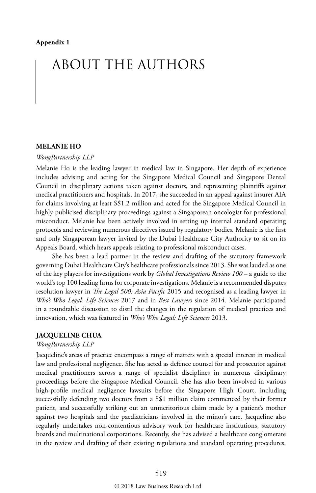# ABOUT THE AUTHORS

#### **MELANIE HO**

#### *WongPartnership LLP*

Melanie Ho is the leading lawyer in medical law in Singapore. Her depth of experience includes advising and acting for the Singapore Medical Council and Singapore Dental Council in disciplinary actions taken against doctors, and representing plaintiffs against medical practitioners and hospitals. In 2017, she succeeded in an appeal against insurer AIA for claims involving at least S\$1.2 million and acted for the Singapore Medical Council in highly publicised disciplinary proceedings against a Singaporean oncologist for professional misconduct. Melanie has been actively involved in setting up internal standard operating protocols and reviewing numerous directives issued by regulatory bodies. Melanie is the first and only Singaporean lawyer invited by the Dubai Healthcare City Authority to sit on its Appeals Board, which hears appeals relating to professional misconduct cases.

She has been a lead partner in the review and drafting of the statutory framework governing Dubai Healthcare City's healthcare professionals since 2013. She was lauded as one of the key players for investigations work by *Global Investigations Review 100* – a guide to the world's top 100 leading firms for corporate investigations. Melanie is a recommended disputes resolution lawyer in *The Legal 500: Asia Pacific* 2015 and recognised as a leading lawyer in *Who's Who Legal: Life Sciences* 2017 and in *Best Lawyers* since 2014. Melanie participated in a roundtable discussion to distil the changes in the regulation of medical practices and innovation, which was featured in *Who's Who Legal: Life Sciences* 2013.

#### **JACQUELINE CHUA**

*WongPartnership LLP*

Jacqueline's areas of practice encompass a range of matters with a special interest in medical law and professional negligence. She has acted as defence counsel for and prosecutor against medical practitioners across a range of specialist disciplines in numerous disciplinary proceedings before the Singapore Medical Council. She has also been involved in various high-profile medical negligence lawsuits before the Singapore High Court, including successfully defending two doctors from a S\$1 million claim commenced by their former patient, and successfully striking out an unmeritorious claim made by a patient's mother against two hospitals and the paediatricians involved in the minor's care. Jacqueline also regularly undertakes non-contentious advisory work for healthcare institutions, statutory boards and multinational corporations. Recently, she has advised a healthcare conglomerate in the review and drafting of their existing regulations and standard operating procedures.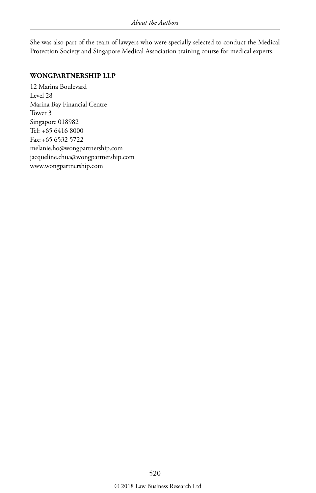She was also part of the team of lawyers who were specially selected to conduct the Medical Protection Society and Singapore Medical Association training course for medical experts.

#### **WONGPARTNERSHIP LLP**

12 Marina Boulevard Level 28 Marina Bay Financial Centre Tower 3 Singapore 018982 Tel: +65 6416 8000 Fax: +65 6532 5722 melanie.ho@wongpartnership.com jacqueline.chua@wongpartnership.com www.wongpartnership.com